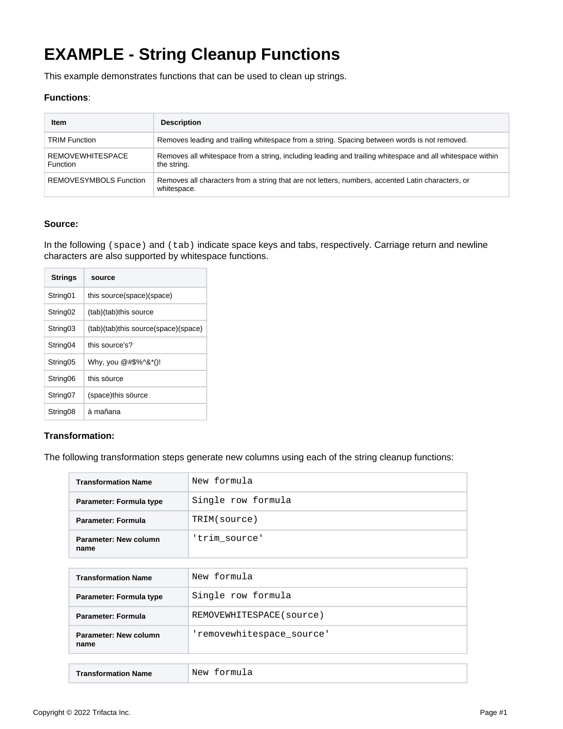# **EXAMPLE - String Cleanup Functions**

This example demonstrates functions that can be used to clean up strings.

## **Functions**:

| Item                                       | <b>Description</b>                                                                                                       |  |
|--------------------------------------------|--------------------------------------------------------------------------------------------------------------------------|--|
| <b>TRIM Function</b>                       | Removes leading and trailing whitespace from a string. Spacing between words is not removed.                             |  |
| <b>REMOVEWHITESPACE</b><br><b>Function</b> | Removes all whitespace from a string, including leading and trailing whitespace and all whitespace within<br>the string. |  |
| REMOVESYMBOLS Function                     | Removes all characters from a string that are not letters, numbers, accented Latin characters, or<br>whitespace.         |  |

#### **Source:**

In the following (space) and (tab) indicate space keys and tabs, respectively. Carriage return and newline characters are also supported by whitespace functions.

| <b>Strings</b>       | source                              |  |
|----------------------|-------------------------------------|--|
| String <sub>01</sub> | this source(space)(space)           |  |
| String <sub>02</sub> | (tab)(tab)this source               |  |
| String <sub>03</sub> | (tab)(tab)this source(space)(space) |  |
| String <sub>04</sub> | this source's?                      |  |
| String <sub>05</sub> | Why, you @#\$%^&*()!                |  |
| String <sub>06</sub> | this source                         |  |
| String <sub>07</sub> | (space)this source                  |  |
| String <sub>08</sub> | à mañana                            |  |

### **Transformation:**

The following transformation steps generate new columns using each of the string cleanup functions:

| <b>Transformation Name</b>    | New formula               |
|-------------------------------|---------------------------|
| Parameter: Formula type       | Single row formula        |
| <b>Parameter: Formula</b>     | TRIM(source)              |
| Parameter: New column<br>name | 'trim_source'             |
|                               |                           |
| <b>Transformation Name</b>    | New formula               |
| Parameter: Formula type       | Single row formula        |
| Parameter: Formula            | REMOVEWHITESPACE (source) |
| Parameter: New column<br>name | 'removewhitespace source' |
|                               |                           |
| <b>Transformation Name</b>    | New formula               |